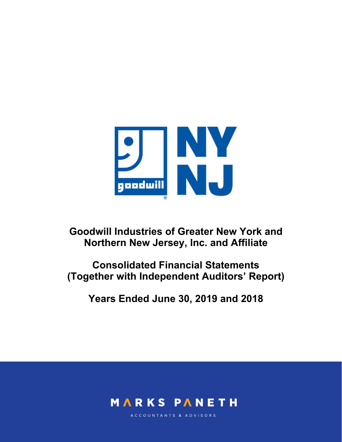

**Goodwill Industries of Greater New York and Northern New Jersey, Inc. and Affiliate** 

**Consolidated Financial Statements (Together with Independent Auditors' Report)** 

**Years Ended June 30, 2019 and 2018** 



ACCOUNTANTS & ADVISORS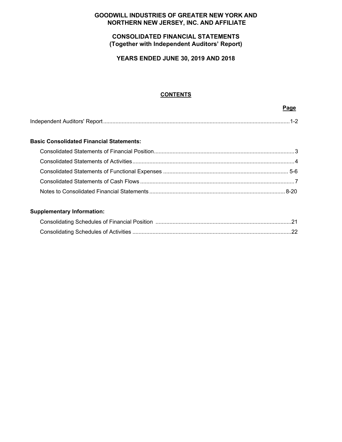# **GOODWILL INDUSTRIES OF GREATER NEW YORK AND NORTHERN NEW JERSEY, INC. AND AFFILIATE**

# **CONSOLIDATED FINANCIAL STATEMENTS (Together with Independent Auditors' Report)**

**YEARS ENDED JUNE 30, 2019 AND 2018** 

# **CONTENTS**

# **Page**

### **Basic Consolidated Financial Statements:**

#### **Supplementary Information:**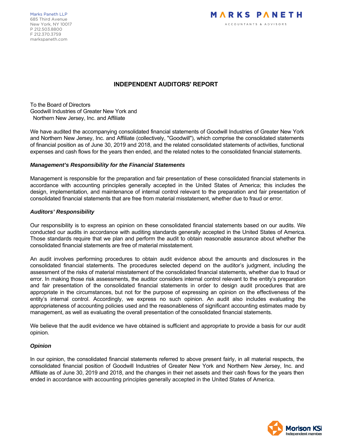Marks Paneth LLP 685 Third Avenue New York, NY 10017 P 212.503.8800 F 212.370.3759 markspaneth.com



# **INDEPENDENT AUDITORS' REPORT**

To the Board of Directors Goodwill Industries of Greater New York and Northern New Jersey, Inc. and Affiliate

We have audited the accompanying consolidated financial statements of Goodwill Industries of Greater New York and Northern New Jersey, Inc. and Affiliate (collectively, "Goodwill"), which comprise the consolidated statements of financial position as of June 30, 2019 and 2018, and the related consolidated statements of activities, functional expenses and cash flows for the years then ended, and the related notes to the consolidated financial statements.

#### *Management's Responsibility for the Financial Statements*

Management is responsible for the preparation and fair presentation of these consolidated financial statements in accordance with accounting principles generally accepted in the United States of America; this includes the design, implementation, and maintenance of internal control relevant to the preparation and fair presentation of consolidated financial statements that are free from material misstatement, whether due to fraud or error.

#### *Auditors' Responsibility*

Our responsibility is to express an opinion on these consolidated financial statements based on our audits. We conducted our audits in accordance with auditing standards generally accepted in the United States of America. Those standards require that we plan and perform the audit to obtain reasonable assurance about whether the consolidated financial statements are free of material misstatement.

An audit involves performing procedures to obtain audit evidence about the amounts and disclosures in the consolidated financial statements. The procedures selected depend on the auditor's judgment, including the assessment of the risks of material misstatement of the consolidated financial statements, whether due to fraud or error. In making those risk assessments, the auditor considers internal control relevant to the entity's preparation and fair presentation of the consolidated financial statements in order to design audit procedures that are appropriate in the circumstances, but not for the purpose of expressing an opinion on the effectiveness of the entity's internal control. Accordingly, we express no such opinion. An audit also includes evaluating the appropriateness of accounting policies used and the reasonableness of significant accounting estimates made by management, as well as evaluating the overall presentation of the consolidated financial statements.

We believe that the audit evidence we have obtained is sufficient and appropriate to provide a basis for our audit opinion.

### *Opinion*

In our opinion, the consolidated financial statements referred to above present fairly, in all material respects, the consolidated financial position of Goodwill Industries of Greater New York and Northern New Jersey, Inc. and Affiliate as of June 30, 2019 and 2018, and the changes in their net assets and their cash flows for the years then ended in accordance with accounting principles generally accepted in the United States of America.

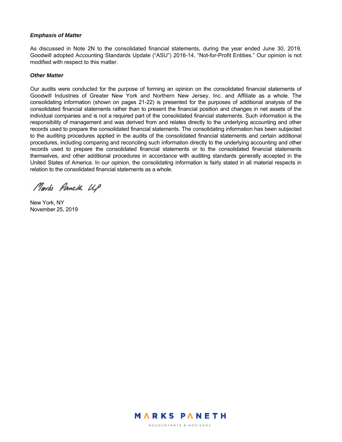#### *Emphasis of Matter*

As discussed in Note 2N to the consolidated financial statements, during the year ended June 30, 2019, Goodwill adopted Accounting Standards Update ("ASU") 2016-14, "Not-for-Profit Entities." Our opinion is not modified with respect to this matter.

#### *Other Matter*

Our audits were conducted for the purpose of forming an opinion on the consolidated financial statements of Goodwill Industries of Greater New York and Northern New Jersey, Inc. and Affiliate as a whole. The consolidating information (shown on pages 21-22) is presented for the purposes of additional analysis of the consolidated financial statements rather than to present the financial position and changes in net assets of the individual companies and is not a required part of the consolidated financial statements. Such information is the responsibility of management and was derived from and relates directly to the underlying accounting and other records used to prepare the consolidated financial statements. The consolidating information has been subjected to the auditing procedures applied in the audits of the consolidated financial statements and certain additional procedures, including comparing and reconciling such information directly to the underlying accounting and other records used to prepare the consolidated financial statements or to the consolidated financial statements themselves, and other additional procedures in accordance with auditing standards generally accepted in the United States of America. In our opinion, the consolidating information is fairly stated in all material respects in relation to the consolidated financial statements as a whole.

Marks Paneth UP

New York, NY November 25, 2019



ACCOUNTANTS & ADVISORS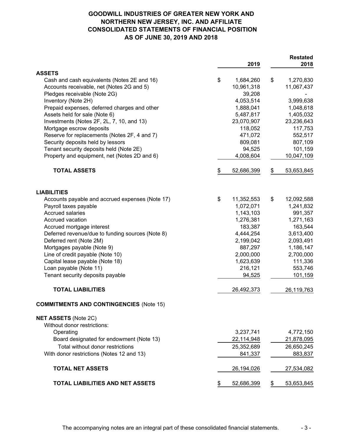# **GOODWILL INDUSTRIES OF GREATER NEW YORK AND NORTHERN NEW JERSEY, INC. AND AFFILIATE CONSOLIDATED STATEMENTS OF FINANCIAL POSITION AS OF JUNE 30, 2019 AND 2018**

|                                                  |    |              |    | <b>Restated</b> |
|--------------------------------------------------|----|--------------|----|-----------------|
|                                                  |    | 2019         |    | 2018            |
| <b>ASSETS</b>                                    |    |              |    |                 |
| Cash and cash equivalents (Notes 2E and 16)      | \$ | 1,684,260    | \$ | 1,270,830       |
| Accounts receivable, net (Notes 2G and 5)        |    | 10,961,318   |    | 11,067,437      |
| Pledges receivable (Note 2G)                     |    | 39,208       |    |                 |
| Inventory (Note 2H)                              |    | 4,053,514    |    | 3,999,638       |
| Prepaid expenses, deferred charges and other     |    | 1,888,041    |    | 1,048,618       |
| Assets held for sale (Note 6)                    |    | 5,487,817    |    | 1,405,032       |
| Investments (Notes 2F, 2L, 7, 10, and 13)        |    | 23,070,907   |    | 23,236,643      |
| Mortgage escrow deposits                         |    | 118,052      |    | 117,753         |
| Reserve for replacements (Notes 2F, 4 and 7)     |    | 471,072      |    | 552,517         |
| Security deposits held by lessors                |    | 809,081      |    | 807,109         |
| Tenant security deposits held (Note 2E)          |    | 94,525       |    | 101,159         |
| Property and equipment, net (Notes 2D and 6)     |    | 4,008,604    |    | 10,047,109      |
| <b>TOTAL ASSETS</b>                              | \$ | 52,686,399   | \$ | 53,653,845      |
| <b>LIABILITIES</b>                               |    |              |    |                 |
| Accounts payable and accrued expenses (Note 17)  | \$ | 11,352,553   | \$ | 12,092,588      |
| Payroll taxes payable                            |    | 1,072,071    |    | 1,241,832       |
| <b>Accrued salaries</b>                          |    | 1,143,103    |    | 991,357         |
| Accrued vacation                                 |    | 1,276,381    |    | 1,271,163       |
| Accrued mortgage interest                        |    | 183,387      |    | 163,544         |
| Deferred revenue/due to funding sources (Note 8) |    | 4,444,254    |    | 3,613,400       |
| Deferred rent (Note 2M)                          |    | 2,199,042    |    | 2,093,491       |
| Mortgages payable (Note 9)                       |    | 887,297      |    | 1,186,147       |
| Line of credit payable (Note 10)                 |    | 2,000,000    |    | 2,700,000       |
| Capital lease payable (Note 18)                  |    | 1,623,639    |    | 111,336         |
| Loan payable (Note 11)                           |    | 216,121      |    | 553,746         |
| Tenant security deposits payable                 |    | 94,525       |    | 101,159         |
| <b>TOTAL LIABILITIES</b>                         |    | 26,492,373   |    | 26,119,763      |
|                                                  |    |              |    |                 |
| <b>COMMITMENTS AND CONTINGENCIES (Note 15)</b>   |    |              |    |                 |
| <b>NET ASSETS (Note 2C)</b>                      |    |              |    |                 |
| Without donor restrictions:                      |    |              |    |                 |
| Operating                                        |    | 3,237,741    |    | 4,772,150       |
| Board designated for endowment (Note 13)         |    | 22,114,948   |    | 21,878,095      |
| Total without donor restrictions                 |    | 25,352,689   |    | 26,650,245      |
| With donor restrictions (Notes 12 and 13)        |    | 841,337      |    | 883,837         |
| <b>TOTAL NET ASSETS</b>                          |    | 26, 194, 026 |    | 27,534,082      |
| <b>TOTAL LIABILITIES AND NET ASSETS</b>          |    | 52,686,399   | \$ | 53,653,845      |
|                                                  |    |              |    |                 |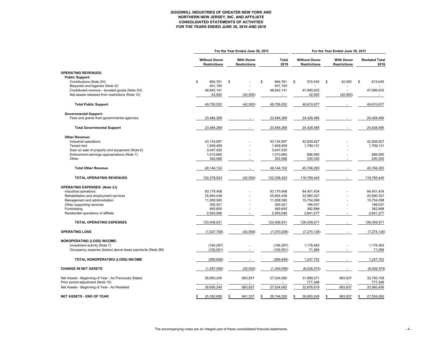#### **GOODWILL INDUSTRIES OF GREATER NEW YORK AND NORTHERN NEW JERSEY, INC. AND AFFILIATE CONSOLIDATED STATEMENTS OF ACTIVITIESFOR THE YEARS ENDED JUNE 30, 2019 AND 2018**

|                                                                                            | For the Year Ended June 30, 2019            |    |                                          |    |                      | For the Year Ended June 30, 2018            |    |                                          |    |                               |
|--------------------------------------------------------------------------------------------|---------------------------------------------|----|------------------------------------------|----|----------------------|---------------------------------------------|----|------------------------------------------|----|-------------------------------|
|                                                                                            | <b>Without Donor</b><br><b>Restrictions</b> |    | <b>With Donor</b><br><b>Restrictions</b> |    | <b>Total</b><br>2019 | <b>Without Donor</b><br><b>Restrictions</b> |    | <b>With Donor</b><br><b>Restrictions</b> |    | <b>Restated Total</b><br>2018 |
| <b>OPERATING REVENUES:</b>                                                                 |                                             |    |                                          |    |                      |                                             |    |                                          |    |                               |
| <b>Public Support:</b>                                                                     |                                             |    |                                          |    |                      |                                             |    |                                          |    |                               |
| Contributions (Note 2H)                                                                    | \$<br>664,761                               | \$ |                                          | \$ | 664,761              | \$<br>572,545                               | \$ | 42,500                                   | \$ | 615,045                       |
| Bequests and legacies (Note 2I)                                                            | 401,150                                     |    |                                          |    | 401,150              |                                             |    |                                          |    |                               |
| Contributed revenue - donated goods (Note 2H)                                              | 48,642,141                                  |    |                                          |    | 48,642,141           | 47.995.632                                  |    |                                          |    | 47,995,632                    |
| Net assets released from restrictions (Note 12)                                            | 42,500                                      |    | (42, 500)                                |    | $\sim$               | 42,500                                      |    | (42, 500)                                |    | $\sim$                        |
| <b>Total Public Support</b>                                                                | 49,750,552                                  |    | (42,500)                                 |    | 49,708,052           | 48,610,677                                  |    |                                          |    | 48,610,677                    |
| <b>Governmental Support:</b>                                                               |                                             |    |                                          |    |                      |                                             |    |                                          |    |                               |
| Fees and grants from governmental agencies                                                 | 23,484,269                                  |    |                                          |    | 23,484,269           | 24,428,485                                  |    |                                          |    | 24,428,485                    |
| <b>Total Governmental Support</b>                                                          | 23,484,269                                  |    |                                          |    | 23,484,269           | 24,428,485                                  |    |                                          |    | 24,428,485                    |
| Other Revenue:                                                                             |                                             |    |                                          |    |                      |                                             |    |                                          |    |                               |
| Industrial operations                                                                      | 43,134,857                                  |    |                                          |    | 43,134,857           | 42,829,827                                  |    |                                          |    | 42.829.827                    |
| Tenant rent                                                                                | 1,649,459                                   |    |                                          |    | 1,649,459            | 1,799,131                                   |    |                                          |    | 1,799,131                     |
| Gain on sale of property and equipment (Note 6)                                            | 3,047,035                                   |    |                                          |    | 3,047,035            |                                             |    |                                          |    |                               |
| Endowment earnings appropriations (Note 7)                                                 | 1,010,685                                   |    |                                          |    | 1,010,685            | 886,995                                     |    |                                          |    | 886,995                       |
| Other                                                                                      | 302,066                                     |    |                                          |    | 302,066              | 230,330                                     |    |                                          |    | 230,330                       |
| <b>Total Other Revenue</b>                                                                 | 49,144,102                                  |    |                                          |    | 49,144,102           | 45,746,283                                  |    |                                          |    | 45,746,283                    |
| TOTAL OPERATING REVENUES                                                                   | 122,378,923                                 |    | (42, 500)                                |    | 122,336,423          | 118,785,445                                 |    | $\sim$                                   |    | 118,785,445                   |
| <b>OPERATING EXPENSES: (Note 2J)</b>                                                       |                                             |    |                                          |    |                      |                                             |    |                                          |    |                               |
| Industrial operations                                                                      | 83,179,406                                  |    |                                          |    | 83,179,406           | 84,401,434                                  |    |                                          |    | 84,401,434                    |
| Rehabilitation and employment services                                                     | 25,854,438                                  |    |                                          |    | 25,854,438           | 22,690,327                                  |    |                                          |    | 22,690,327                    |
| Management and administration                                                              | 11,008,565                                  |    |                                          |    | 11,008,565           | 15,754,098                                  |    |                                          |    | 15,754,098                    |
| Other supporting services                                                                  | 305,521                                     |    |                                          |    | 305,521              | 189,537                                     |    |                                          |    | 189,537                       |
| Fundraising                                                                                | 465,655                                     |    |                                          |    | 465,655              | 382,898                                     |    |                                          |    | 382,898                       |
| Residential operations of affiliate                                                        | 2,593,046                                   |    |                                          |    | 2,593,046            | 2,641,277                                   |    |                                          |    | 2,641,277                     |
| <b>TOTAL OPERATING EXPENSES</b>                                                            | 123,406,631                                 |    | $\sim$                                   |    | 123,406,631          | 126,059,571                                 |    | $\sim$                                   |    | 126,059,571                   |
| <b>OPERATING LOSS</b>                                                                      | (1,027,708)                                 |    | (42, 500)                                |    | (1,070,208)          | (7, 274, 126)                               |    |                                          |    | (7, 274, 126)                 |
| <b>NONOPERATING (LOSS) INCOME:</b>                                                         |                                             |    |                                          |    |                      |                                             |    |                                          |    |                               |
| Investment activity (Note 7)                                                               | (164, 297)                                  |    |                                          |    | (164, 297)           | 1,176,483                                   |    |                                          |    | 1,176,483                     |
| Occupancy expense (below) above lease payments (Note 2M)                                   | (105, 551)                                  |    |                                          |    | (105, 551)           | 71,269                                      |    |                                          |    | 71,269                        |
| TOTAL NONOPERATING (LOSS) INCOME                                                           | (269, 848)                                  |    |                                          |    | (269, 848)           | 1,247,752                                   |    |                                          |    | 1,247,752                     |
| <b>CHANGE IN NET ASSETS</b>                                                                | (1, 297, 556)                               |    | (42,500)                                 |    | (1,340,056)          | (6,026,374)                                 |    | ÷.                                       |    | (6,026,374)                   |
| Net Assets - Beginning of Year - As Previously Stated<br>Prior period adjustment (Note 19) | 26,650,245                                  |    | 883,837                                  |    | 27,534,082<br>$\sim$ | 31,899,271<br>777,348                       |    | 883,837<br>$\sim$                        |    | 32,783,108<br>777,348         |
| Net Assets - Beginning of Year - As Restated                                               | 26,650,245                                  |    | 883,837                                  |    | 27,534,082           | 32,676,619                                  |    | 883,837                                  |    | 33,560,456                    |
| <b>NET ASSETS - END OF YEAR</b>                                                            | \$<br>25,352,689                            |    | 841,337                                  | \$ | 26,194,026           | \$<br>26,650,245                            | \$ | 883,837                                  | \$ | 27,534,082                    |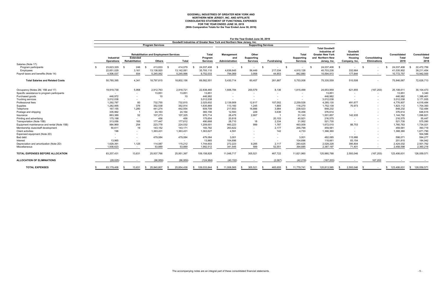# **GOODWILL INDUSTRIES OF GREATER NEW YORK AND NORTHERN NEW JERSEY, INC. AND AFFILIATE CONSOLIDATED STATEMENT OF FUNCTIONAL EXPENSES FOR THE YEAR ENDED JUNE 30, 2019 (With Comparative Totals for the Year Ended June 30, 2018)**

|                                             |                          |                                   |                                                         |                          |                                                                       |                                            | For the Year Ended June 30, 2019       |                            |                                               |                                                                                     |                                                                             |                                      |                                             |                               |
|---------------------------------------------|--------------------------|-----------------------------------|---------------------------------------------------------|--------------------------|-----------------------------------------------------------------------|--------------------------------------------|----------------------------------------|----------------------------|-----------------------------------------------|-------------------------------------------------------------------------------------|-----------------------------------------------------------------------------|--------------------------------------|---------------------------------------------|-------------------------------|
|                                             |                          |                                   |                                                         |                          | Goodwill Industries of Greater New York and Northern New Jersey, Inc. |                                            |                                        |                            |                                               |                                                                                     |                                                                             |                                      |                                             |                               |
|                                             |                          |                                   | <b>Program Services</b>                                 |                          |                                                                       |                                            |                                        | <b>Supporting Services</b> |                                               |                                                                                     |                                                                             |                                      |                                             |                               |
|                                             | Industrial<br>Operations | <b>Extended</b><br>Rehabilitation | <b>Rehabilitation and Employment Services</b><br>Others | <b>Total</b>             | Total<br>Program<br><b>Services</b>                                   | <b>Management</b><br>and<br>Administration | Other<br>Supporting<br><b>Services</b> | Fundraising                | <b>Total</b><br>Supporting<br><b>Services</b> | <b>Industries of</b><br><b>Greater New York</b><br>and Northern New<br>Jersey, Inc. | <b>Total Goodwill</b><br>Goodwill<br>Industries<br>Housing<br>Company, Inc. | Consolidating<br><b>Eliminations</b> | <b>Consolidated</b><br><b>Total</b><br>2019 | Consolidated<br>Total<br>2018 |
| Salaries (Note 17):                         |                          |                                   |                                                         |                          |                                                                       |                                            |                                        |                            |                                               |                                                                                     |                                                                             |                                      |                                             |                               |
| Program participants                        | 23,623,329               | 246                               | 413.833                                                 | 414.079                  | 24,037,408                                                            |                                            |                                        |                            |                                               | 24,037,408                                                                          |                                                                             |                                      | 24,037,408                                  | 22,472,759                    |
| Employees                                   | 22,651,029               | 3,161                             | 13,138,920                                              | 13,142,081               | 35,793,110                                                            | 4,636,645                                  | 56,449                                 | 217,034                    | 4,910,128                                     | 40,703,238                                                                          | 332,664                                                                     |                                      | 41,035,902                                  | 39,211,454                    |
| Payroll taxes and benefits (Note 14)        | 4.506.037                | 934                               | 5,245,062                                               | 5,245,996                | 9,752,033                                                             | 794.069                                    | 3,958                                  | 44.853                     | 842,880                                       | 10,594,913                                                                          | 177.844                                                                     |                                      | 10,772,757                                  | 10,942,500                    |
| <b>Total Salaries and Related Costs</b>     | 50,780,395               | 4,341                             | 18,797,815                                              | 18,802,156               | 69,582,551                                                            | 5,430,714                                  | 60,407                                 | 261,887                    | 5,753,008                                     | 75,335,559                                                                          | 510,508                                                                     |                                      | 75,846,067                                  | 72,626,713                    |
| Occupancy (Notes 2M, 15B and 17)            | 19,919,739               | 5,958                             | 2,912,763                                               | 2,918,721                | 22,838,460                                                            | 1,606,784                                  | 200,579                                | 8,136                      | 1,815,499                                     | 24,653,959                                                                          | 621,855                                                                     | (167, 203)                           | 25,108,611                                  | 30,104,473                    |
| Specific assistance to program participants |                          | $\sim$                            | 13,851                                                  | 13,851                   | 13,851                                                                | $\overline{\phantom{a}}$                   |                                        | $\sim$                     |                                               | 13,851                                                                              | $\sim$                                                                      | $\sim$                               | 13,851                                      | 3,340                         |
| Purchased goods                             | 446,972                  |                                   | 10                                                      | 10                       | 446,982                                                               |                                            |                                        |                            |                                               | 446,982                                                                             |                                                                             |                                      | 446,982                                     | 1,388,461                     |
| Trucking services                           | 3,012,038                |                                   |                                                         | $\overline{\phantom{a}}$ | 3,012,038                                                             | $\overline{\phantom{a}}$                   |                                        | $\overline{\phantom{a}}$   |                                               | 3,012,038                                                                           | $\sim$                                                                      |                                      | 3,012,038                                   | 3,171,935                     |
| Professional fees                           | 1,292,787                | 60                                | 732,755                                                 | 732,815                  | 2,025,602                                                             | 2,139,909                                  | 12,617                                 | 107.002                    | 2,259,528                                     | 4.285.130                                                                           | 491,677                                                                     |                                      | 4,776,807                                   | 4,018,484                     |
| Supplies                                    | 1,282,955                | 376                               | 352,538                                                 | 352,914                  | 1,635,869                                                             | 113,160                                    | 1,245                                  | 1,865                      | 116,270                                       | 1,752,139                                                                           | 70,973                                                                      |                                      | 1,823,112                                   | 1,704,393                     |
| Telephone                                   | 167,155                  | 1,280                             | 441,274                                                 | 442,554                  | 609,709                                                               | 217,653                                    | 16,886                                 | 3,984                      | 238,523                                       | 848,232                                                                             |                                                                             |                                      | 848,232                                     | 722,484                       |
| Postage and shipping                        | 335,992                  |                                   | 24,163                                                  | 24,164                   | 360,156                                                               | 12,593                                     | 229                                    | 3,636                      | 16,458                                        | 376,614                                                                             |                                                                             |                                      | 376,614                                     | 646,615                       |
| Insurance                                   | 863,389                  | 52                                | 107,273                                                 | 107,325                  | 970,714                                                               | 28,475                                     | 2,667                                  |                            | 31,143                                        | 1,001,857                                                                           | 142,935                                                                     |                                      | 1,144,792                                   | 1,096,821                     |
| Printing and advertising                    | 175,198                  | $\sim$                            | 456                                                     | 456                      | 175,654                                                               | 20,818                                     | $\overline{a}$                         | 20,103                     | 40,921                                        | 216,575                                                                             | $\sim$                                                                      |                                      | 216,575                                     | 55,447                        |
| Transportation (Note 15B)                   | 313,056                  | 165                               | 177.447                                                 | 177,612                  | 490,668                                                               | 28.710                                     | 18                                     | 2,334                      | 31,062                                        | 521.730                                                                             | $\sim$                                                                      |                                      | 521,730                                     | 575,090                       |
| Equipment maintenance and rental (Note 15B) | 984,969                  | 254                               | 223,778                                                 | 224,032                  | 1,209,001                                                             | 460,223                                    | 999                                    | 1.787                      | 463,009                                       | 1,672,010                                                                           | 88,753                                                                      |                                      | 1,760,763                                   | 1,734,021                     |
| Membership dues/staff development           | 50,611                   | 19                                | 143,152                                                 | 143,171                  | 193,782                                                               | 263,622                                    |                                        | 2,177                      | 265,799                                       | 459,581                                                                             |                                                                             |                                      | 459,581                                     | 393,719                       |
| <b>Client activities</b>                    | 196                      |                                   | 1,363,431                                               | 1,363,431                | 1,363,627                                                             | 4,591                                      |                                        | 142                        | 4,733                                         | 1,368,360                                                                           |                                                                             |                                      | 1,368,360                                   | 1,671,790                     |
| Expensed equipment (Note 2D)                |                          |                                   | $\overline{\phantom{a}}$                                | $\sim$                   |                                                                       | $\overline{\phantom{a}}$                   |                                        | $\overline{\phantom{a}}$   |                                               | $\overline{\phantom{a}}$                                                            |                                                                             |                                      |                                             | 504,586                       |
| Bad debt                                    |                          |                                   | 479,084                                                 | 479,084                  | 479,084                                                               | 3,001                                      |                                        |                            | 3,001                                         | 482,085                                                                             | 115,986                                                                     |                                      | 598,071                                     | 594,277                       |
| Interest                                    | 13.965                   | $\overline{\phantom{a}}$          | $\sim$                                                  | $\sim$                   | 13,965                                                                | 104,696                                    |                                        | $\overline{\phantom{a}}$   | 104,696                                       | 118,661                                                                             | 83,154                                                                      |                                      | 201,815                                     | 184,942                       |
| Depreciation and amortization (Note 2D)     | 1,629,391                | 1,125                             | 114,087                                                 | 115,212                  | 1,744,603                                                             | 272,223                                    | 9,285                                  | 2,117                      | 283,625                                       | 2,028,228                                                                           | 395,804                                                                     |                                      | 2,424,032                                   | 2,501,762                     |
| Miscellaneous                               | 1,938,623                |                                   | 53,889                                                  | 53,889                   | 1,992,512                                                             | 341,545                                    | 589                                    | 52,551                     | 394,685                                       | 2,387,197                                                                           | 71,401                                                                      |                                      | 2,458,598                                   | 2,360,218                     |
| <b>TOTAL EXPENSES BEFORE ALLOCATION</b>     | 83,207,431               | 13,631                            | 25,937,766                                              | 25,951,397               | 109,158,828                                                           | 11,048,717                                 | 305,521                                | 467,722                    | 11,821,960                                    | 120,980,788                                                                         | 2,593,046                                                                   | (167, 203)                           | 123,406,631                                 | 126,059,571                   |
| <b>ALLOCATION OF ELIMINATIONS</b>           | (28, 025)                |                                   | (96, 959)                                               | (96, 959)                | (124, 984)                                                            | (40, 152)                                  |                                        | (2,067)                    | (42, 219)                                     | (167, 203)                                                                          |                                                                             | 167,203                              |                                             |                               |
| <b>TOTAL EXPENSES</b>                       | 83,179,406               | 13,631                            | 25,840,807<br>- S                                       | 25,854,438               | 109,033,844<br>-SS                                                    | 11,008,565                                 | 305,521                                | 465,655                    | 11,779,741<br>\$                              | 120,813,585                                                                         | 2,593,046                                                                   |                                      | 123,406,631<br>-S                           | 126,059,571<br>- \$           |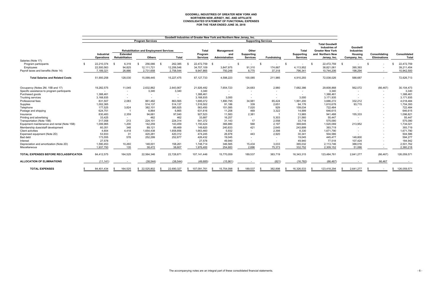# **GOODWILL INDUSTRIES OF GREATER NEW YORK AND NORTHERN NEW JERSEY, INC. AND AFFILIATE CONSOLIDATED STATEMENT OF FUNCTIONAL EXPENSES FOR THE YEAR ENDED JUNE 30, 2018**

|                                             |                                 | Goodwill Industries of Greater New York and Northern New Jersey, Inc. |                                                                |                 |                                            |                                     |                                               |                            |                                               |                                                                                                       |                                                           |                                      |                       |
|---------------------------------------------|---------------------------------|-----------------------------------------------------------------------|----------------------------------------------------------------|-----------------|--------------------------------------------|-------------------------------------|-----------------------------------------------|----------------------------|-----------------------------------------------|-------------------------------------------------------------------------------------------------------|-----------------------------------------------------------|--------------------------------------|-----------------------|
|                                             |                                 |                                                                       | <b>Program Services</b>                                        |                 |                                            |                                     |                                               | <b>Supporting Services</b> |                                               |                                                                                                       |                                                           |                                      |                       |
|                                             | Industrial<br><b>Operations</b> | <b>Extended</b><br>Rehabilitation                                     | <b>Rehabilitation and Employment Services</b><br><b>Others</b> | <b>Total</b>    | <b>Total</b><br>Program<br><b>Services</b> | Management<br>and<br>Administration | Other<br><b>Supporting</b><br><b>Services</b> | <b>Fundraising</b>         | <b>Total</b><br>Supporting<br><b>Services</b> | <b>Total Goodwill</b><br>Industries of<br><b>Greater New York</b><br>and Northern New<br>Jersey, Inc. | <b>Goodwill</b><br>Industries<br>Housing<br>Company, Inc. | Consolidating<br><b>Eliminations</b> | Consolidated<br>Total |
| Salaries (Note 17):                         |                                 |                                                                       |                                                                |                 |                                            |                                     |                                               |                            |                                               |                                                                                                       |                                                           |                                      |                       |
| Program participants                        | 22,210,374<br>\$                | 6,319<br>- \$                                                         | 256,066                                                        | 262,385<br>- \$ | 22,472,759                                 | - \$                                | \$<br>$\overline{\phantom{a}}$                | -\$                        | \$                                            | 22,472,759<br>\$                                                                                      | - \$                                                      | £.                                   | 22,472,759<br>\$      |
| Employees                                   | 22,500,563                      | 94,825                                                                | 12,111,721                                                     | 12,206,546      | 34,707,109                                 | 3,847,975                           | 91,310                                        | 174,667                    | 4,113,952                                     | 38,821,061                                                                                            | 390,393                                                   |                                      | 39,211,454            |
| Payroll taxes and benefits (Note 14)        | 7,189,321                       | 26,886                                                                | 2,731,658                                                      | 2,758,544       | 9,947,865                                  | 750,248                             | 8,775                                         | 37,318                     | 796,341                                       | 10,744,206                                                                                            | 198,294                                                   |                                      | 10,942,500            |
| <b>Total Salaries and Related Costs</b>     | 51,900,258                      | 128,030                                                               | 15,099,445                                                     | 15,227,475      | 67, 127, 733                               | 4,598,223                           | 100,085                                       | 211,985                    | 4,910,293                                     | 72,038,026                                                                                            | 588,687                                                   |                                      | 72,626,713            |
| Occupancy (Notes 2M, 15B and 17)            | 19,282,575                      | 11,045                                                                | 2,632,862                                                      | 2,643,907       | 21,926,482                                 | 7,654,723                           | 24,683                                        | 2,980                      | 7,682,386                                     | 29,608,868                                                                                            | 562,072                                                   | (66, 467)                            | 30,104,473            |
| Specific assistance to program participants | $\sim$                          | $\sim$                                                                | 3,340                                                          | 3,340           | 3,340                                      |                                     |                                               |                            |                                               | 3,340                                                                                                 | $\blacksquare$                                            | $\sim$                               | 3,340                 |
| Purchased goods                             | 1,388,461                       | $\sim$                                                                | $\sim$                                                         | $\sim$          | 1,388,461                                  | $\overline{\phantom{a}}$            | $\overline{\phantom{a}}$                      |                            |                                               | 1,388,461                                                                                             | $\blacksquare$                                            | $\overline{\phantom{a}}$             | 1,388,461             |
| <b>Trucking services</b>                    | 3,168,935                       | $\sim$                                                                | $\overline{\phantom{a}}$                                       | $\sim$          | 3,168,935                                  | 3,000                               | $\sim$                                        |                            | 3,000                                         | 3,171,935                                                                                             | $\overline{\phantom{a}}$                                  |                                      | 3,171,935             |
| Professional fees                           | 831,507                         | 2,083                                                                 | 861,482                                                        | 863,565         | 1,695,072                                  | 1,890,795                           | 34,981                                        | 65,424                     | 1,991,200                                     | 3,686,272                                                                                             | 332,212                                                   |                                      | 4,018,484             |
| Supplies                                    | 1,002,365                       | $\sim$                                                                | 514,137                                                        | 514,137         | 1,516,502                                  | 91,186                              | 339                                           | 2,651                      | 94,176                                        | 1,610,678                                                                                             | 93,715                                                    |                                      | 1,704,393             |
| Telephone                                   | 177,525                         | 3,824                                                                 | 382,101                                                        | 385,925         | 563,450                                    | 151,085                             | 7,020                                         | 929                        | 159,034                                       | 722,484                                                                                               | $\blacksquare$                                            |                                      | 722,484               |
| Postage and shipping                        | 624,751                         |                                                                       | 6,864                                                          | 6,865           | 631.616                                    | 11,208                              | 469                                           | 3,322                      | 14,999                                        | 646,615                                                                                               | $\sim$                                                    |                                      | 646,615               |
| Insurance                                   | 830,483                         | 2,359                                                                 | 94,681                                                         | 97,040          | 927,523                                    | 11,583                              | 2,381                                         |                            | 13,965                                        | 941,488                                                                                               | 155,333                                                   |                                      | 1,096,821             |
| Printing and advertising                    | 33,425                          | $\sim$                                                                | 462                                                            | 462             | 33,887                                     | 16,257                              | $\sim$                                        | 5,303                      | 21,560                                        | 55,447                                                                                                | $\blacksquare$                                            |                                      | 55,447                |
| Transportation (Note 15B)                   | 317,058                         | 213                                                                   | 224,101                                                        | 224,314         | 541,372                                    | 31,143                              | 17                                            | 2,558                      | 33,718                                        | 575,090                                                                                               | $\blacksquare$                                            |                                      | 575,090               |
| Equipment maintenance and rental (Note 15B) | 1,006,965                       | 1,200                                                                 | 142,259                                                        | 143,459         | 1,150,424                                  | 366,880                             | 568                                           | 2,197                      | 369,645                                       | 1,520,069                                                                                             | 213,952                                                   |                                      | 1,734,021             |
| Membership dues/staff development           | 60,351                          | 348                                                                   | 89,121                                                         | 89,469          | 149,820                                    | 240,833                             | 421                                           | 2,645                      | 243,899                                       | 393,719                                                                                               | $\sim$                                                    |                                      | 393,719               |
| <b>Client activities</b>                    | 4,604                           | 4,418                                                                 | 1,654,438                                                      | 1,658,856       | 1,663,460                                  | 5,932                               | $\sim$                                        | 2,398                      | 8,330                                         | 1,671,790                                                                                             | $\blacksquare$                                            |                                      | 1,671,790             |
| Expensed equipment (Note 2D)                | 53,933                          | 31                                                                    | 420,281                                                        | 420,312         | 474,245                                    | 26,978                              | 443                                           | 2,920                      | 30,341                                        | 504,586                                                                                               | $\blacksquare$                                            |                                      | 504,586               |
| <b>Bad debt</b>                             | 173,555                         | 578                                                                   | 252,299                                                        | 252,877         | 426,432                                    | 19,045                              | $\sim$                                        | $\sim$                     | 19,045                                        | 445,477                                                                                               | 148,800                                                   |                                      | 594,277               |
| Interest                                    | 27,578                          | $\sim$                                                                | $\sim$                                                         | $\sim$          | 27,578                                     | 49,940                              |                                               |                            | 49,940                                        | 77,518                                                                                                | 107,424                                                   |                                      | 184,942               |
| Depreciation and amortization (Note 2D)     | 1,590,453                       | 10,260                                                                | 148,001                                                        | 158,261         | 1,748,714                                  | 346,565                             | 15,434                                        | 3,033                      | 365,032                                       | 2,113,746                                                                                             | 388,016                                                   |                                      | 2,501,762             |
| Miscellaneous                               | 1,937,793                       | 135                                                                   | 38,472                                                         | 38,607          | 1,976,400                                  | 254,683                             | 2,696                                         | 75,373                     | 332,752                                       | 2,309,152                                                                                             | 51,066                                                    |                                      | 2,360,218             |
| TOTAL EXPENSES BEFORE RECLASSIFICATION      | 84,412,575                      | 164,525                                                               | 22,564,346                                                     | 22,728,871      | 107,141,446                                | 15,770,059                          | 189,537                                       | 383,719                    | 16,343,315                                    | 123,484,761                                                                                           | 2,641,277                                                 | (66, 467)                            | 126,059,57            |
| <b>ALLOCATION OF ELIMINATIONS</b>           | (11, 141)                       |                                                                       | (38, 544)                                                      | (38, 544)       | (49, 685)                                  | (15, 961)                           |                                               | (821)                      | (16, 782)                                     | (66, 467)                                                                                             |                                                           | 66,467                               |                       |
| <b>TOTAL EXPENSES</b>                       | 84,401,434                      | 164,525                                                               | \$22,525,802                                                   | 22,690,327      | 107,091,761<br>\$                          | 15,754,098                          | 189,537<br>\$                                 | 382,898                    | 16,326,533                                    | 123,418,294                                                                                           | 2,641,277                                                 |                                      | 126,059,57'<br>\$     |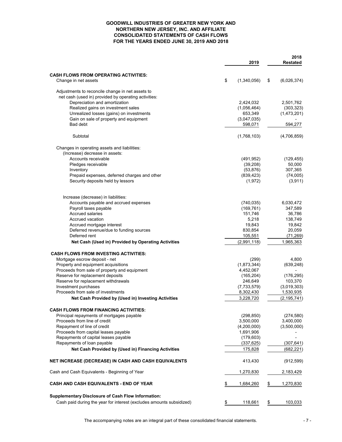#### **GOODWILL INDUSTRIES OF GREATER NEW YORK AND NORTHERN NEW JERSEY, INC. AND AFFILIATE CONSOLIDATED STATEMENTS OF CASH FLOWS FOR THE YEARS ENDED JUNE 30, 2019 AND 2018**

|                                                                      | 2019                   | 2018<br><b>Restated</b> |
|----------------------------------------------------------------------|------------------------|-------------------------|
| <b>CASH FLOWS FROM OPERATING ACTIVITIES:</b>                         |                        |                         |
| Change in net assets                                                 | \$<br>(1,340,056)      | \$<br>(6,026,374)       |
| Adjustments to reconcile change in net assets to                     |                        |                         |
| net cash (used in) provided by operating activities:                 |                        |                         |
| Depreciation and amortization                                        | 2,424,032              | 2,501,762               |
| Realized gains on investment sales                                   | (1,056,464)            | (303, 323)              |
| Unrealized losses (gains) on investments                             | 653,349                | (1,473,201)             |
| Gain on sale of property and equipment<br><b>Bad debt</b>            | (3,047,035)            |                         |
|                                                                      | 598,071                | 594,277                 |
| Subtotal                                                             | (1,768,103)            | (4,706,859)             |
| Changes in operating assets and liabilities:                         |                        |                         |
| (Increase) decrease in assets:                                       |                        |                         |
| Accounts receivable                                                  | (491, 952)             | (129, 455)              |
| Pledges receivable                                                   | (39, 208)              | 50,000                  |
| Inventory                                                            | (53, 876)              | 307,365                 |
| Prepaid expenses, deferred charges and other                         | (839, 423)             | (74,005)                |
| Security deposits held by lessors                                    | (1,972)                | (3,911)                 |
| Increase (decrease) in liabilities:                                  |                        |                         |
| Accounts payable and accrued expenses                                | (740, 035)             | 6,030,472               |
| Payroll taxes payable                                                | (169, 761)             | 347,589                 |
| Accrued salaries                                                     | 151,746                | 36,786                  |
| Accrued vacation                                                     | 5,218                  | 138,749                 |
| Accrued mortgage interest                                            | 19,843                 | 19,842                  |
| Deferred revenue/due to funding sources<br>Deferred rent             | 830,854                | 20,059                  |
| Net Cash (Used in) Provided by Operating Activities                  | 105,551<br>(2,991,118) | (71, 269)<br>1,965,363  |
| <b>CASH FLOWS FROM INVESTING ACTIVITIES:</b>                         |                        |                         |
| Mortgage escrow deposit - net                                        | (299)                  | 4,800                   |
| Property and equipment acquisitions                                  | (1,873,344)            | (639, 248)              |
| Proceeds from sale of property and equipment                         | 4,452,067              |                         |
| Reserve for replacement deposits                                     | (165, 204)             | (176, 295)              |
| Reserve for replacement withdrawals                                  | 246,649                | 103,370                 |
| Investment purchases                                                 | (7,733,579)            | (3,019,303)             |
| Proceeds from sale of investments                                    | 8,302,430              | 1,530,935               |
| Net Cash Provided by (Used in) Investing Activities                  | 3,228,720              | (2, 195, 741)           |
| <b>CASH FLOWS FROM FINANCING ACTIVITIES:</b>                         |                        |                         |
| Principal repayments of mortgages payable                            | (298, 850)             | (274, 580)              |
| Proceeds from line of credit                                         | 3,500,000              | 3,400,000               |
| Repayment of line of credit                                          | (4,200,000)            | (3,500,000)             |
| Proceeds from capital leases payable                                 | 1,691,906              |                         |
| Repayments of capital leases payable                                 | (179, 603)             |                         |
| Repayments of loan payable                                           | (337, 625)             | (307, 641)              |
| Net Cash Provided by (Used in) Financing Activities                  | 175,828                | (682, 221)              |
| NET INCREASE (DECREASE) IN CASH AND CASH EQUIVALENTS                 | 413,430                | (912, 599)              |
| Cash and Cash Equivalents - Beginning of Year                        | 1,270,830              | 2,183,429               |
| CASH AND CASH EQUIVALENTS - END OF YEAR                              | \$<br>1,684,260        | \$<br>1,270,830         |
| <b>Supplementary Disclosure of Cash Flow Information:</b>            |                        |                         |
| Cash paid during the year for interest (excludes amounts subsidized) | \$<br>118,661          | \$<br>103,033           |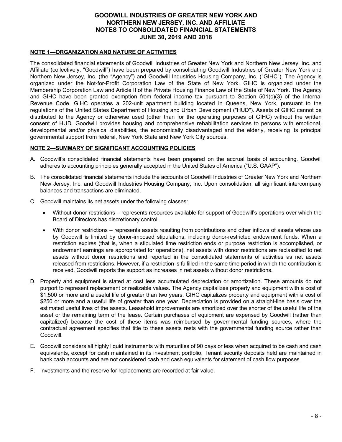# **NOTE 1—ORGANIZATION AND NATURE OF ACTIVITIES**

The consolidated financial statements of Goodwill Industries of Greater New York and Northern New Jersey, Inc. and Affiliate (collectively, "Goodwill") have been prepared by consolidating Goodwill Industries of Greater New York and Northern New Jersey, Inc. (the "Agency") and Goodwill Industries Housing Company, Inc. ("GIHC"). The Agency is organized under the Not-for-Profit Corporation Law of the State of New York. GIHC is organized under the Membership Corporation Law and Article II of the Private Housing Finance Law of the State of New York. The Agency and GIHC have been granted exemption from federal income tax pursuant to Section 501(c)(3) of the Internal Revenue Code. GIHC operates a 202-unit apartment building located in Queens, New York, pursuant to the regulations of the United States Department of Housing and Urban Development ("HUD"). Assets of GIHC cannot be distributed to the Agency or otherwise used (other than for the operating purposes of GIHC) without the written consent of HUD. Goodwill provides housing and comprehensive rehabilitation services to persons with emotional, developmental and/or physical disabilities, the economically disadvantaged and the elderly, receiving its principal governmental support from federal, New York State and New York City sources.

# **NOTE 2—SUMMARY OF SIGNIFICANT ACCOUNTING POLICIES**

- A. Goodwill's consolidated financial statements have been prepared on the accrual basis of accounting. Goodwill adheres to accounting principles generally accepted in the United States of America ("U.S. GAAP").
- B. The consolidated financial statements include the accounts of Goodwill Industries of Greater New York and Northern New Jersey, Inc. and Goodwill Industries Housing Company, Inc. Upon consolidation, all significant intercompany balances and transactions are eliminated.
- C. Goodwill maintains its net assets under the following classes:
	- Without donor restrictions represents resources available for support of Goodwill's operations over which the Board of Directors has discretionary control.
	- With donor restrictions represents assets resulting from contributions and other inflows of assets whose use by Goodwill is limited by donor-imposed stipulations, including donor-restricted endowment funds. When a restriction expires (that is, when a stipulated time restriction ends or purpose restriction is accomplished, or endowment earnings are appropriated for operations), net assets with donor restrictions are reclassified to net assets without donor restrictions and reported in the consolidated statements of activities as net assets released from restrictions. However, if a restriction is fulfilled in the same time period in which the contribution is received, Goodwill reports the support as increases in net assets without donor restrictions.
- D. Property and equipment is stated at cost less accumulated depreciation or amortization. These amounts do not purport to represent replacement or realizable values. The Agency capitalizes property and equipment with a cost of \$1,500 or more and a useful life of greater than two years. GIHC capitalizes property and equipment with a cost of \$250 or more and a useful life of greater than one year. Depreciation is provided on a straight-line basis over the estimated useful lives of the assets. Leasehold improvements are amortized over the shorter of the useful life of the asset or the remaining term of the lease. Certain purchases of equipment are expensed by Goodwill (rather than capitalized) because the cost of these items was reimbursed by governmental funding sources, where the contractual agreement specifies that title to these assets rests with the governmental funding source rather than Goodwill.
- E. Goodwill considers all highly liquid instruments with maturities of 90 days or less when acquired to be cash and cash equivalents, except for cash maintained in its investment portfolio. Tenant security deposits held are maintained in bank cash accounts and are not considered cash and cash equivalents for statement of cash flow purposes.
- F. Investments and the reserve for replacements are recorded at fair value.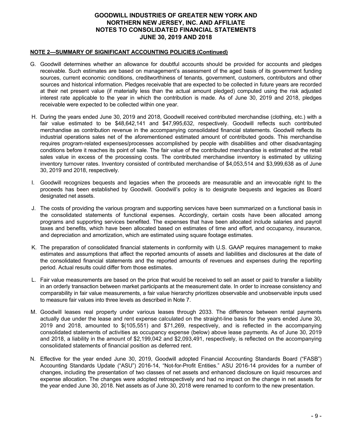## **NOTE 2—SUMMARY OF SIGNIFICANT ACCOUNTING POLICIES (Continued)**

- G. Goodwill determines whether an allowance for doubtful accounts should be provided for accounts and pledges receivable. Such estimates are based on management's assessment of the aged basis of its government funding sources, current economic conditions, creditworthiness of tenants, government, customers, contributors and other sources and historical information. Pledges receivable that are expected to be collected in future years are recorded at their net present value (if materially less than the actual amount pledged) computed using the risk adjusted interest rate applicable to the year in which the contribution is made. As of June 30, 2019 and 2018, pledges receivable were expected to be collected within one year.
- H. During the years ended June 30, 2019 and 2018, Goodwill received contributed merchandise (clothing, etc.) with a fair value estimated to be \$48,642,141 and \$47,995,632, respectively. Goodwill reflects such contributed merchandise as contribution revenue in the accompanying consolidated financial statements. Goodwill reflects its industrial operations sales net of the aforementioned estimated amount of contributed goods. This merchandise requires program-related expenses/processes accomplished by people with disabilities and other disadvantaging conditions before it reaches its point of sale. The fair value of the contributed merchandise is estimated at the retail sales value in excess of the processing costs. The contributed merchandise inventory is estimated by utilizing inventory turnover rates. Inventory consisted of contributed merchandise of \$4,053,514 and \$3,999,638 as of June 30, 2019 and 2018, respectively.
- I. Goodwill recognizes bequests and legacies when the proceeds are measurable and an irrevocable right to the proceeds has been established by Goodwill. Goodwill's policy is to designate bequests and legacies as Board designated net assets.
- J. The costs of providing the various program and supporting services have been summarized on a functional basis in the consolidated statements of functional expenses. Accordingly, certain costs have been allocated among programs and supporting services benefited. The expenses that have been allocated include salaries and payroll taxes and benefits, which have been allocated based on estimates of time and effort, and occupancy, insurance, and depreciation and amortization, which are estimated using square footage estimates.
- K. The preparation of consolidated financial statements in conformity with U.S. GAAP requires management to make estimates and assumptions that affect the reported amounts of assets and liabilities and disclosures at the date of the consolidated financial statements and the reported amounts of revenues and expenses during the reporting period. Actual results could differ from those estimates.
- L. Fair value measurements are based on the price that would be received to sell an asset or paid to transfer a liability in an orderly transaction between market participants at the measurement date. In order to increase consistency and comparability in fair value measurements, a fair value hierarchy prioritizes observable and unobservable inputs used to measure fair values into three levels as described in Note 7.
- M. Goodwill leases real property under various leases through 2033. The difference between rental payments actually due under the lease and rent expense calculated on the straight-line basis for the years ended June 30, 2019 and 2018, amounted to \$(105,551) and \$71,269, respectively, and is reflected in the accompanying consolidated statements of activities as occupancy expense (below) above lease payments. As of June 30, 2019 and 2018, a liability in the amount of \$2,199,042 and \$2,093,491, respectively, is reflected on the accompanying consolidated statements of financial position as deferred rent.
- N. Effective for the year ended June 30, 2019, Goodwill adopted Financial Accounting Standards Board ("FASB") Accounting Standards Update ("ASU") 2016-14, "Not-for-Profit Entities." ASU 2016-14 provides for a number of changes, including the presentation of two classes of net assets and enhanced disclosure on liquid resources and expense allocation. The changes were adopted retrospectively and had no impact on the change in net assets for the year ended June 30, 2018. Net assets as of June 30, 2018 were renamed to conform to the new presentation.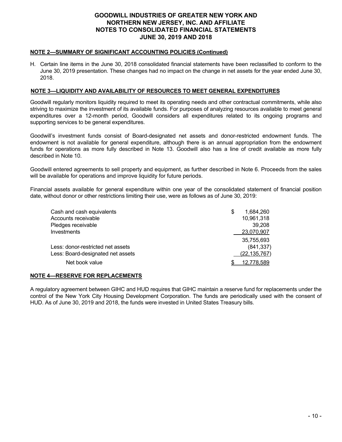# **NOTE 2—SUMMARY OF SIGNIFICANT ACCOUNTING POLICIES (Continued)**

H. Certain line items in the June 30, 2018 consolidated financial statements have been reclassified to conform to the June 30, 2019 presentation. These changes had no impact on the change in net assets for the year ended June 30, 2018.

#### **NOTE 3—LIQUIDITY AND AVAILABILITY OF RESOURCES TO MEET GENERAL EXPENDITURES**

Goodwill regularly monitors liquidity required to meet its operating needs and other contractual commitments, while also striving to maximize the investment of its available funds. For purposes of analyzing resources available to meet general expenditures over a 12-month period, Goodwill considers all expenditures related to its ongoing programs and supporting services to be general expenditures.

Goodwill's investment funds consist of Board-designated net assets and donor-restricted endowment funds. The endowment is not available for general expenditure, although there is an annual appropriation from the endowment funds for operations as more fully described in Note 13. Goodwill also has a line of credit available as more fully described in Note 10.

Goodwill entered agreements to sell property and equipment, as further described in Note 6. Proceeds from the sales will be available for operations and improve liquidity for future periods.

Financial assets available for general expenditure within one year of the consolidated statement of financial position date, without donor or other restrictions limiting their use, were as follows as of June 30, 2019:

| Cash and cash equivalents         | \$<br>1.684.260 |
|-----------------------------------|-----------------|
| Accounts receivable               | 10,961,318      |
| Pledges receivable                | 39,208          |
| Investments                       | 23,070,907      |
|                                   | 35,755,693      |
| Less: donor-restricted net assets | (841, 337)      |
| Less: Board-designated net assets | (22, 135, 767)  |
| Net book value                    | 12,778,589      |

#### **NOTE 4—RESERVE FOR REPLACEMENTS**

A regulatory agreement between GIHC and HUD requires that GIHC maintain a reserve fund for replacements under the control of the New York City Housing Development Corporation. The funds are periodically used with the consent of HUD. As of June 30, 2019 and 2018, the funds were invested in United States Treasury bills.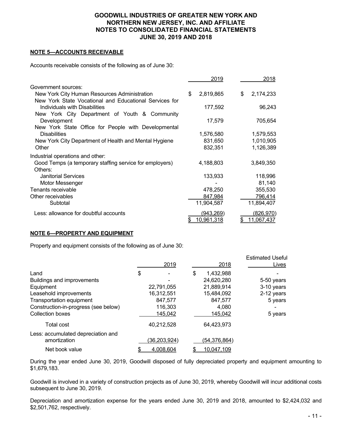# **NOTE 5—ACCOUNTS RECEIVABLE**

Accounts receivable consists of the following as of June 30:

| 2019            | 2018                                   |
|-----------------|----------------------------------------|
|                 |                                        |
| \$<br>2,819,865 | \$<br>2,174,233                        |
| 177,592         | 96,243                                 |
|                 | 705,654                                |
|                 |                                        |
| 1,576,580       | 1,579,553                              |
| 831,650         | 1,010,905                              |
| 832,351         | 1,126,389                              |
|                 |                                        |
| 4,188,803       | 3,849,350                              |
|                 | 118,996                                |
|                 | 81,140                                 |
| 478,250         | 355,530                                |
| 847,984         | 796,414                                |
| 11,904,587      | 11,894,407                             |
| (943,269)       | <u>(826,970)</u><br><u>11,067,437</u>  |
|                 | 17,579<br>133,933<br><u>10,961,318</u> |

# **NOTE 6—PROPERTY AND EQUIPMENT**

Property and equipment consists of the following as of June 30:

|                                      |                |                 | <b>Estimated Useful</b> |
|--------------------------------------|----------------|-----------------|-------------------------|
|                                      | 2019           | 2018            | Lives                   |
| Land                                 | \$             | \$<br>1,432,988 |                         |
| Buildings and improvements           |                | 24,620,280      | 5-50 years              |
| Equipment                            | 22,791,055     | 21,889,914      | 3-10 years              |
| Leasehold improvements               | 16,312,551     | 15,484,092      | 2-12 years              |
| Transportation equipment             | 847,577        | 847.577         | 5 years                 |
| Construction-in-progress (see below) | 116,303        | 4,080           |                         |
| <b>Collection boxes</b>              | 145,042        | 145,042         | 5 years                 |
| Total cost                           | 40,212,528     | 64,423,973      |                         |
| Less: accumulated depreciation and   |                |                 |                         |
| amortization                         | (36, 203, 924) | (54,376,864)    |                         |
| Net book value                       | 4,008,604      | 10,047,109      |                         |

During the year ended June 30, 2019, Goodwill disposed of fully depreciated property and equipment amounting to \$1,679,183.

Goodwill is involved in a variety of construction projects as of June 30, 2019, whereby Goodwill will incur additional costs subsequent to June 30, 2019.

Depreciation and amortization expense for the years ended June 30, 2019 and 2018, amounted to \$2,424,032 and \$2,501,762, respectively.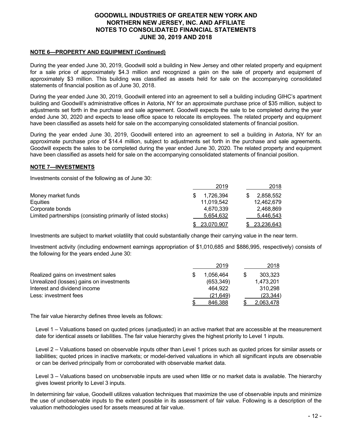#### **NOTE 6—PROPERTY AND EQUIPMENT (Continued)**

During the year ended June 30, 2019, Goodwill sold a building in New Jersey and other related property and equipment for a sale price of approximately \$4.3 million and recognized a gain on the sale of property and equipment of approximately \$3 million. This building was classified as assets held for sale on the accompanying consolidated statements of financial position as of June 30, 2018.

During the year ended June 30, 2019, Goodwill entered into an agreement to sell a building including GIHC's apartment building and Goodwill's administrative offices in Astoria, NY for an approximate purchase price of \$35 million, subject to adjustments set forth in the purchase and sale agreement. Goodwill expects the sale to be completed during the year ended June 30, 2020 and expects to lease office space to relocate its employees. The related property and equipment have been classified as assets held for sale on the accompanying consolidated statements of financial position.

During the year ended June 30, 2019, Goodwill entered into an agreement to sell a building in Astoria, NY for an approximate purchase price of \$14.4 million, subject to adjustments set forth in the purchase and sale agreements. Goodwill expects the sales to be completed during the year ended June 30, 2020. The related property and equipment have been classified as assets held for sale on the accompanying consolidated statements of financial position.

#### **NOTE 7—INVESTMENTS**

Investments consist of the following as of June 30:

|                                                              | 2019       | 2018       |
|--------------------------------------------------------------|------------|------------|
| Money market funds                                           | 1,726,394  | 2,858,552  |
| Equities                                                     | 11,019,542 | 12,462,679 |
| Corporate bonds                                              | 4,670,339  | 2,468,869  |
| Limited partnerships (consisting primarily of listed stocks) | 5,654,632  | 5,446,543  |
|                                                              | 23,070,907 | 23,236,643 |

Investments are subject to market volatility that could substantially change their carrying value in the near term.

Investment activity (including endowment earnings appropriation of \$1,010,685 and \$886,995, respectively) consists of the following for the years ended June 30:

|                                          | 2019      | 2018      |
|------------------------------------------|-----------|-----------|
| Realized gains on investment sales       | 1.056.464 | 303,323   |
| Unrealized (losses) gains on investments | (653.349) | 1.473.201 |
| Interest and dividend income             | 464.922   | 310.298   |
| Less: investment fees                    | (21, 649) | (23, 344) |
|                                          | 846.388   | 2,063,478 |

The fair value hierarchy defines three levels as follows:

Level 1 – Valuations based on quoted prices (unadjusted) in an active market that are accessible at the measurement date for identical assets or liabilities. The fair value hierarchy gives the highest priority to Level 1 inputs.

Level 2 – Valuations based on observable inputs other than Level 1 prices such as quoted prices for similar assets or liabilities; quoted prices in inactive markets; or model-derived valuations in which all significant inputs are observable or can be derived principally from or corroborated with observable market data.

Level 3 – Valuations based on unobservable inputs are used when little or no market data is available. The hierarchy gives lowest priority to Level 3 inputs.

In determining fair value, Goodwill utilizes valuation techniques that maximize the use of observable inputs and minimize the use of unobservable inputs to the extent possible in its assessment of fair value. Following is a description of the valuation methodologies used for assets measured at fair value.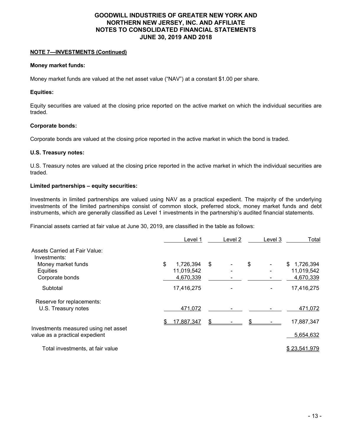# **NOTE 7—INVESTMENTS (Continued)**

#### **Money market funds:**

Money market funds are valued at the net asset value ("NAV") at a constant \$1.00 per share.

#### **Equities:**

Equity securities are valued at the closing price reported on the active market on which the individual securities are traded.

#### **Corporate bonds:**

Corporate bonds are valued at the closing price reported in the active market in which the bond is traded.

#### **U.S. Treasury notes:**

U.S. Treasury notes are valued at the closing price reported in the active market in which the individual securities are traded.

#### **Limited partnerships – equity securities:**

Investments in limited partnerships are valued using NAV as a practical expedient. The majority of the underlying investments of the limited partnerships consist of common stock, preferred stock, money market funds and debt instruments, which are generally classified as Level 1 investments in the partnership's audited financial statements.

Financial assets carried at fair value at June 30, 2019, are classified in the table as follows:

|                                                      |     | Level 1    | Level 2        | Level 3 | Total            |
|------------------------------------------------------|-----|------------|----------------|---------|------------------|
| <b>Assets Carried at Fair Value:</b><br>Investments: |     |            |                |         |                  |
| Money market funds                                   | \$  | 1,726,394  | \$             | \$      | 1,726,394<br>\$. |
| Equities                                             |     | 11,019,542 | $\blacksquare$ |         | 11,019,542       |
| Corporate bonds                                      |     | 4,670,339  |                |         | 4,670,339        |
| Subtotal                                             |     | 17,416,275 |                |         | 17,416,275       |
| Reserve for replacements:                            |     |            |                |         |                  |
| U.S. Treasury notes                                  |     | 471,072    |                |         | 471,072          |
| Investments measured using net asset                 | \$. | 17,887,347 | \$             |         | 17,887,347       |
| value as a practical expedient                       |     |            |                |         | 5,654,632        |
| Total investments, at fair value                     |     |            |                |         | \$23,541,979     |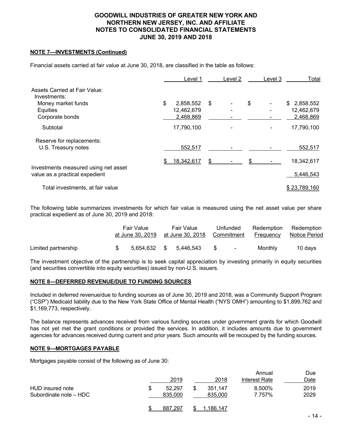# **NOTE 7—INVESTMENTS (Continued)**

Financial assets carried at fair value at June 30, 2018, are classified in the table as follows:

|                                               | Level 1          | Level 2 | Level 3 | Total            |
|-----------------------------------------------|------------------|---------|---------|------------------|
| Assets Carried at Fair Value:<br>Investments: |                  |         |         |                  |
| Money market funds                            | \$<br>2,858,552  | \$      | \$      | 2,858,552<br>\$. |
| Equities                                      | 12,462,679       |         |         | 12,462,679       |
| Corporate bonds                               | 2,468,869        |         |         | 2,468,869        |
| Subtotal                                      | 17,790,100       |         |         | 17,790,100       |
| Reserve for replacements:                     |                  |         |         |                  |
| U.S. Treasury notes                           | 552,517          |         |         | 552,517          |
| Investments measured using net asset          | \$<br>18,342,617 | \$      |         | 18,342,617       |
| value as a practical expedient                |                  |         |         | 5,446,543        |
| Total investments, at fair value              |                  |         |         | \$23,789,160     |

The following table summarizes investments for which fair value is measured using the net asset value per share practical expedient as of June 30, 2019 and 2018:

|                     | Fair Value | Fair Value<br>at June 30, 2019 at June 30, 2018 |                | Unfunded<br>Commitment | Redemption<br>Frequency | Redemption<br>Notice Period |
|---------------------|------------|-------------------------------------------------|----------------|------------------------|-------------------------|-----------------------------|
| Limited partnership |            | 5.654.632 \$ 5.446.543                          | $\mathbb{S}$ - |                        | Monthly                 | 10 davs                     |

The investment objective of the partnership is to seek capital appreciation by investing primarily in equity securities (and securities convertible into equity securities) issued by non-U.S. issuers.

#### **NOTE 8—DEFERRED REVENUE/DUE TO FUNDING SOURCES**

Included in deferred revenue/due to funding sources as of June 30, 2019 and 2018, was a Community Support Program ("CSP") Medicaid liability due to the New York State Office of Mental Health ("NYS OMH") amounting to \$1,899,762 and \$1,169,773, respectively.

The balance represents advances received from various funding sources under government grants for which Goodwill has not yet met the grant conditions or provided the services. In addition, it includes amounts due to government agencies for advances received during current and prior years. Such amounts will be recouped by the funding sources.

#### **NOTE 9—MORTGAGES PAYABLE**

Mortgages payable consist of the following as of June 30:

|                        |         |          | Annual        | Due  |
|------------------------|---------|----------|---------------|------|
|                        | 2019    | 2018     | Interest Rate | Date |
| HUD insured note       | 52.297  | 351.147  | 8.500%        | 2019 |
| Subordinate note - HDC | 835,000 | 835,000  | 7.757%        | 2029 |
|                        | 887.297 | ,186,147 |               |      |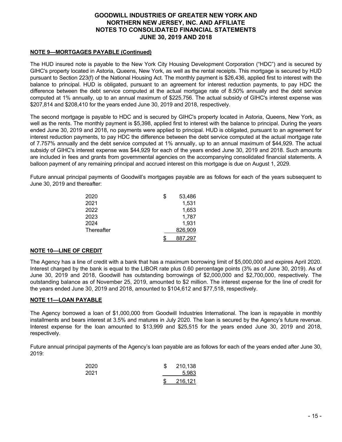# **NOTE 9—MORTGAGES PAYABLE (Continued)**

The HUD insured note is payable to the New York City Housing Development Corporation ("HDC") and is secured by GIHC's property located in Astoria, Queens, New York, as well as the rental receipts. This mortgage is secured by HUD pursuant to Section 223(f) of the National Housing Act. The monthly payment is \$26,436, applied first to interest with the balance to principal. HUD is obligated, pursuant to an agreement for interest reduction payments, to pay HDC the difference between the debt service computed at the actual mortgage rate of 8.50% annually and the debt service computed at 1% annually, up to an annual maximum of \$225,756. The actual subsidy of GIHC's interest expense was \$207,814 and \$208,410 for the years ended June 30, 2019 and 2018, respectively.

The second mortgage is payable to HDC and is secured by GIHC's property located in Astoria, Queens, New York, as well as the rents. The monthly payment is \$5,398, applied first to interest with the balance to principal. During the years ended June 30, 2019 and 2018, no payments were applied to principal. HUD is obligated, pursuant to an agreement for interest reduction payments, to pay HDC the difference between the debt service computed at the actual mortgage rate of 7.757% annually and the debt service computed at 1% annually, up to an annual maximum of \$44,929. The actual subsidy of GIHC's interest expense was \$44,929 for each of the years ended June 30, 2019 and 2018. Such amounts are included in fees and grants from governmental agencies on the accompanying consolidated financial statements. A balloon payment of any remaining principal and accrued interest on this mortgage is due on August 1, 2029.

Future annual principal payments of Goodwill's mortgages payable are as follows for each of the years subsequent to June 30, 2019 and thereafter:

| 2020       | S | 53,486  |
|------------|---|---------|
| 2021       |   | 1,531   |
| 2022       |   | 1,653   |
| 2023       |   | 1,787   |
| 2024       |   | 1,931   |
| Thereafter |   | 826,909 |
|            |   | 887     |

### **NOTE 10—LINE OF CREDIT**

The Agency has a line of credit with a bank that has a maximum borrowing limit of \$5,000,000 and expires April 2020. Interest charged by the bank is equal to the LIBOR rate plus 0.60 percentage points (3% as of June 30, 2019). As of June 30, 2019 and 2018, Goodwill has outstanding borrowings of \$2,000,000 and \$2,700,000, respectively. The outstanding balance as of November 25, 2019, amounted to \$2 million. The interest expense for the line of credit for the years ended June 30, 2019 and 2018, amounted to \$104,612 and \$77,518, respectively.

#### **NOTE 11—LOAN PAYABLE**

The Agency borrowed a loan of \$1,000,000 from Goodwill Industries International. The loan is repayable in monthly installments and bears interest at 3.5% and matures in July 2020. The loan is secured by the Agency's future revenue. Interest expense for the loan amounted to \$13,999 and \$25,515 for the years ended June 30, 2019 and 2018, respectively.

Future annual principal payments of the Agency's loan payable are as follows for each of the years ended after June 30, 2019:

| 2020 | 210,138 |
|------|---------|
| 2021 | 5.983   |
|      | 216,121 |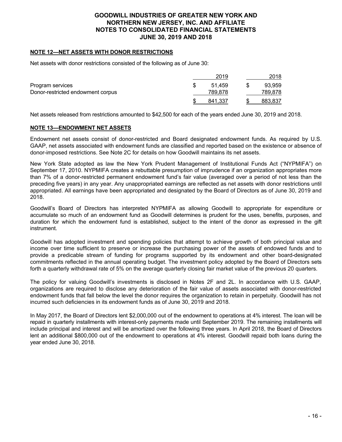# **NOTE 12—NET ASSETS WITH DONOR RESTRICTIONS**

Net assets with donor restrictions consisted of the following as of June 30:

|                                   | 2019    | 2018    |
|-----------------------------------|---------|---------|
| Program services                  | 51.459  | 93,959  |
| Donor-restricted endowment corpus | 789,878 | 789,878 |
|                                   | 841.337 | 883,837 |

Net assets released from restrictions amounted to \$42,500 for each of the years ended June 30, 2019 and 2018.

#### **NOTE 13—ENDOWMENT NET ASSETS**

Endowment net assets consist of donor-restricted and Board designated endowment funds. As required by U.S. GAAP, net assets associated with endowment funds are classified and reported based on the existence or absence of donor-imposed restrictions. See Note 2C for details on how Goodwill maintains its net assets.

New York State adopted as law the New York Prudent Management of Institutional Funds Act ("NYPMIFA") on September 17, 2010. NYPMIFA creates a rebuttable presumption of imprudence if an organization appropriates more than 7% of a donor-restricted permanent endowment fund's fair value (averaged over a period of not less than the preceding five years) in any year. Any unappropriated earnings are reflected as net assets with donor restrictions until appropriated. All earnings have been appropriated and designated by the Board of Directors as of June 30, 2019 and 2018.

Goodwill's Board of Directors has interpreted NYPMIFA as allowing Goodwill to appropriate for expenditure or accumulate so much of an endowment fund as Goodwill determines is prudent for the uses, benefits, purposes, and duration for which the endowment fund is established, subject to the intent of the donor as expressed in the gift instrument.

Goodwill has adopted investment and spending policies that attempt to achieve growth of both principal value and income over time sufficient to preserve or increase the purchasing power of the assets of endowed funds and to provide a predicable stream of funding for programs supported by its endowment and other board-designated commitments reflected in the annual operating budget. The investment policy adopted by the Board of Directors sets forth a quarterly withdrawal rate of 5% on the average quarterly closing fair market value of the previous 20 quarters.

The policy for valuing Goodwill's investments is disclosed in Notes 2F and 2L. In accordance with U.S. GAAP, organizations are required to disclose any deterioration of the fair value of assets associated with donor-restricted endowment funds that fall below the level the donor requires the organization to retain in perpetuity. Goodwill has not incurred such deficiencies in its endowment funds as of June 30, 2019 and 2018.

In May 2017, the Board of Directors lent \$2,000,000 out of the endowment to operations at 4% interest. The loan will be repaid in quarterly installments with interest-only payments made until September 2019. The remaining installments will include principal and interest and will be amortized over the following three years. In April 2018, the Board of Directors lent an additional \$800,000 out of the endowment to operations at 4% interest. Goodwill repaid both loans during the year ended June 30, 2018.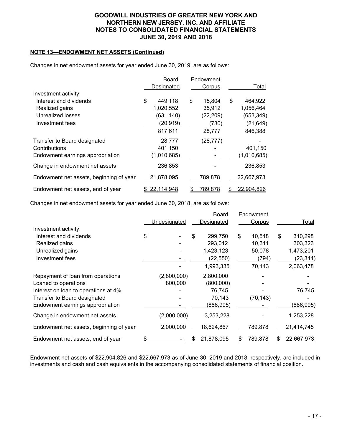# **NOTE 13—ENDOWMENT NET ASSETS (Continued)**

Changes in net endowment assets for year ended June 30, 2019, are as follows:

|                                         | Board<br>Designated |    | Endowment<br>Corpus |    | Total       |
|-----------------------------------------|---------------------|----|---------------------|----|-------------|
| Investment activity:                    |                     |    |                     |    |             |
| Interest and dividends                  | \$<br>449,118       | \$ | 15,804              | \$ | 464,922     |
| Realized gains                          | 1,020,552           |    | 35,912              |    | 1,056,464   |
| Unrealized losses                       | (631, 140)          |    | (22, 209)           |    | (653, 349)  |
| Investment fees                         | (20, 919)           |    | (730)               |    | (21, 649)   |
|                                         | 817,611             |    | 28,777              |    | 846,388     |
| Transfer to Board designated            | 28,777              |    | (28, 777)           |    |             |
| Contributions                           | 401,150             |    |                     |    | 401,150     |
| Endowment earnings appropriation        | (1,010,685)         |    |                     |    | (1,010,685) |
| Change in endowment net assets          | 236,853             |    |                     |    | 236,853     |
| Endowment net assets, beginning of year | 21,878,095          |    | 789,878             |    | 22,667,973  |
| Endowment net assets, end of year       | 22,114,948          | S  | 789,878             | S  | 22,904,826  |

Changes in net endowment assets for year ended June 30, 2018, are as follows:

|                                         |              | Board         | Endowment     |               |
|-----------------------------------------|--------------|---------------|---------------|---------------|
|                                         | Undesignated | Designated    | Corpus        | Total         |
| Investment activity:                    |              |               |               |               |
| Interest and dividends                  | \$           | \$<br>299,750 | \$<br>10.548  | \$<br>310,298 |
| Realized gains                          |              | 293,012       | 10,311        | 303,323       |
| Unrealized gains                        |              | 1,423,123     | 50,078        | 1,473,201     |
| Investment fees                         |              | (22, 550)     | (794)         | (23, 344)     |
|                                         |              | 1,993,335     | 70,143        | 2,063,478     |
| Repayment of loan from operations       | (2,800,000)  | 2,800,000     |               |               |
| Loaned to operations                    | 800,000      | (800,000)     |               |               |
| Interest on loan to operations at 4%    |              | 76,745        |               | 76,745        |
| Transfer to Board designated            |              | 70,143        | (70, 143)     |               |
| Endowment earnings appropriation        |              | (886,995)     |               | (886,995)     |
| Change in endowment net assets          | (2,000,000)  | 3,253,228     |               | 1,253,228     |
| Endowment net assets, beginning of year | 2,000,000    | 18,624,867    | 789,878       | 21,414,745    |
| Endowment net assets, end of year       |              | 21,878,095    | \$<br>789,878 | 22,667,973    |

Endowment net assets of \$22,904,826 and \$22,667,973 as of June 30, 2019 and 2018, respectively, are included in investments and cash and cash equivalents in the accompanying consolidated statements of financial position.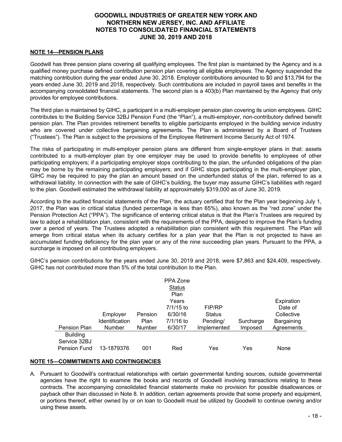#### **NOTE 14—PENSION PLANS**

Goodwill has three pension plans covering all qualifying employees. The first plan is maintained by the Agency and is a qualified money purchase defined contribution pension plan covering all eligible employees. The Agency suspended the matching contribution during the year ended June 30, 2018. Employer contributions amounted to \$0 and \$13,794 for the years ended June 30, 2019 and 2018, respectively. Such contributions are included in payroll taxes and benefits in the accompanying consolidated financial statements. The second plan is a 403(b) Plan maintained by the Agency that only provides for employee contributions.

The third plan is maintained by GIHC, a participant in a multi-employer pension plan covering its union employees. GIHC contributes to the Building Service 32BJ Pension Fund (the "Plan"), a multi-employer, non-contributory defined benefit pension plan. The Plan provides retirement benefits to eligible participants employed in the building service industry who are covered under collective bargaining agreements. The Plan is administered by a Board of Trustees ("Trustees"). The Plan is subject to the provisions of the Employee Retirement Income Security Act of 1974.

The risks of participating in multi-employer pension plans are different from single-employer plans in that: assets contributed to a multi-employer plan by one employer may be used to provide benefits to employees of other participating employers; if a participating employer stops contributing to the plan, the unfunded obligations of the plan may be borne by the remaining participating employers; and if GIHC stops participating in the multi-employer plan, GIHC may be required to pay the plan an amount based on the underfunded status of the plan, referred to as a withdrawal liability. In connection with the sale of GIHC's building, the buyer may assume GIHC's liabilities with regard to the plan. Goodwill estimated the withdrawal liability at approximately \$319,000 as of June 30, 2019.

According to the audited financial statements of the Plan, the actuary certified that for the Plan year beginning July 1, 2017, the Plan was in critical status (funded percentage is less than 65%), also known as the "red zone" under the Pension Protection Act ("PPA"). The significance of entering critical status is that the Plan's Trustees are required by law to adopt a rehabilitation plan, consistent with the requirements of the PPA, designed to improve the Plan's funding over a period of years. The Trustees adopted a rehabilitation plan consistent with this requirement. The Plan will emerge from critical status when its actuary certifies for a plan year that the Plan is not projected to have an accumulated funding deficiency for the plan year or any of the nine succeeding plan years. Pursuant to the PPA, a surcharge is imposed on all contributing employers.

GIHC's pension contributions for the years ended June 30, 2019 and 2018, were \$7,863 and \$24,409, respectively. GIHC has not contributed more than 5% of the total contribution to the Plan.

|                     |                |               | PPA Zone    |               |           |            |
|---------------------|----------------|---------------|-------------|---------------|-----------|------------|
|                     |                |               | Status      |               |           |            |
|                     |                |               | Plan        |               |           |            |
|                     |                |               | Years       |               |           | Expiration |
|                     |                |               | $7/1/15$ to | FIP/RP        |           | Date of    |
|                     | Employer       | Pension       | 6/30/16     | <b>Status</b> |           | Collective |
|                     | Identification | Plan          | 7/1/16 to   | Pending/      | Surcharge | Bargaining |
| Pension Plan        | <b>Number</b>  | <b>Number</b> | 6/30/17     | Implemented   | Imposed   | Agreements |
| <b>Building</b>     |                |               |             |               |           |            |
| Service 32BJ        |                |               |             |               |           |            |
| <b>Pension Fund</b> | 13-1879376     | 001           | Red         | Yes           | Yes       | None       |

#### **NOTE 15—COMMITMENTS AND CONTINGENCIES**

A. Pursuant to Goodwill's contractual relationships with certain governmental funding sources, outside governmental agencies have the right to examine the books and records of Goodwill involving transactions relating to these contracts. The accompanying consolidated financial statements make no provision for possible disallowances or payback other than discussed in Note 8. In addition, certain agreements provide that some property and equipment, or portions thereof, either owned by or on loan to Goodwill must be utilized by Goodwill to continue owning and/or using these assets.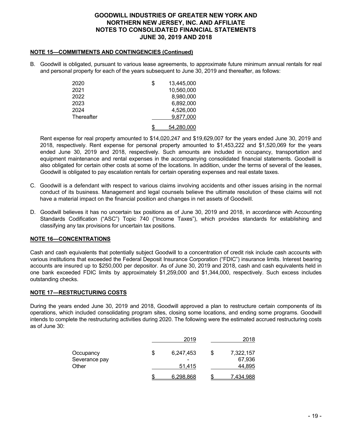#### **NOTE 15—COMMITMENTS AND CONTINGENCIES (Continued)**

B. Goodwill is obligated, pursuant to various lease agreements, to approximate future minimum annual rentals for real and personal property for each of the years subsequent to June 30, 2019 and thereafter, as follows:

| 2020       | \$ | 13,445,000 |
|------------|----|------------|
| 2021       |    | 10,560,000 |
| 2022       |    | 8,980,000  |
| 2023       |    | 6,892,000  |
| 2024       |    | 4,526,000  |
| Thereafter |    | 9,877,000  |
|            | S  | 54.280.000 |

Rent expense for real property amounted to \$14,020,247 and \$19,629,007 for the years ended June 30, 2019 and 2018, respectively. Rent expense for personal property amounted to \$1,453,222 and \$1,520,069 for the years ended June 30, 2019 and 2018, respectively. Such amounts are included in occupancy, transportation and equipment maintenance and rental expenses in the accompanying consolidated financial statements. Goodwill is also obligated for certain other costs at some of the locations. In addition, under the terms of several of the leases, Goodwill is obligated to pay escalation rentals for certain operating expenses and real estate taxes.

- C. Goodwill is a defendant with respect to various claims involving accidents and other issues arising in the normal conduct of its business. Management and legal counsels believe the ultimate resolution of these claims will not have a material impact on the financial position and changes in net assets of Goodwill.
- D. Goodwill believes it has no uncertain tax positions as of June 30, 2019 and 2018, in accordance with Accounting Standards Codification ("ASC") Topic 740 ("Income Taxes"), which provides standards for establishing and classifying any tax provisions for uncertain tax positions.

### **NOTE 16―CONCENTRATIONS**

Cash and cash equivalents that potentially subject Goodwill to a concentration of credit risk include cash accounts with various institutions that exceeded the Federal Deposit Insurance Corporation ("FDIC") insurance limits. Interest bearing accounts are insured up to \$250,000 per depositor. As of June 30, 2019 and 2018, cash and cash equivalents held in one bank exceeded FDIC limits by approximately \$1,259,000 and \$1,344,000, respectively. Such excess includes outstanding checks.

### **NOTE 17―RESTRUCTURING COSTS**

During the years ended June 30, 2019 and 2018, Goodwill approved a plan to restructure certain components of its operations, which included consolidating program sites, closing some locations, and ending some programs. Goodwill intends to complete the restructuring activities during 2020. The following were the estimated accrued restructuring costs as of June 30:

|               |   | 2019      |   | 2018      |
|---------------|---|-----------|---|-----------|
| Occupancy     | S | 6,247,453 | S | 7,322,157 |
| Severance pay |   | -         |   | 67,936    |
| Other         |   | 51,415    |   | 44,895    |
|               |   | 6,298,868 |   | 7,434,988 |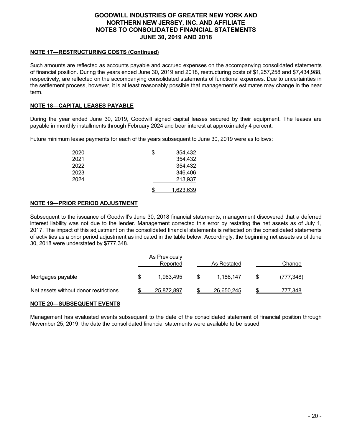## **NOTE 17―RESTRUCTURING COSTS (Continued)**

Such amounts are reflected as accounts payable and accrued expenses on the accompanying consolidated statements of financial position. During the years ended June 30, 2019 and 2018, restructuring costs of \$1,257,258 and \$7,434,988, respectively, are reflected on the accompanying consolidated statements of functional expenses. Due to uncertainties in the settlement process, however, it is at least reasonably possible that management's estimates may change in the near term.

# **NOTE 18―CAPITAL LEASES PAYABLE**

During the year ended June 30, 2019, Goodwill signed capital leases secured by their equipment. The leases are payable in monthly installments through February 2024 and bear interest at approximately 4 percent.

Future minimum lease payments for each of the years subsequent to June 30, 2019 were as follows:

| 2020 | \$<br>354.432 |
|------|---------------|
| 2021 | 354,432       |
| 2022 | 354,432       |
| 2023 | 346,406       |
| 2024 | 213,937       |
|      | 1,623,639     |

#### **NOTE 19―PRIOR PERIOD ADJUSTMENT**

Subsequent to the issuance of Goodwill's June 30, 2018 financial statements, management discovered that a deferred interest liability was not due to the lender. Management corrected this error by restating the net assets as of July 1, 2017. The impact of this adjustment on the consolidated financial statements is reflected on the consolidated statements of activities as a prior period adjustment as indicated in the table below. Accordingly, the beginning net assets as of June 30, 2018 were understated by \$777,348.

|                                       | As Previously<br>Reported | As Restated | Change         |
|---------------------------------------|---------------------------|-------------|----------------|
| Mortgages payable                     | 1.963.495                 | 1.186.147   | 777.348)       |
| Net assets without donor restrictions | 25,872,897                | 26,650,245  | <u>777,348</u> |

### **NOTE 20―SUBSEQUENT EVENTS**

Management has evaluated events subsequent to the date of the consolidated statement of financial position through November 25, 2019, the date the consolidated financial statements were available to be issued.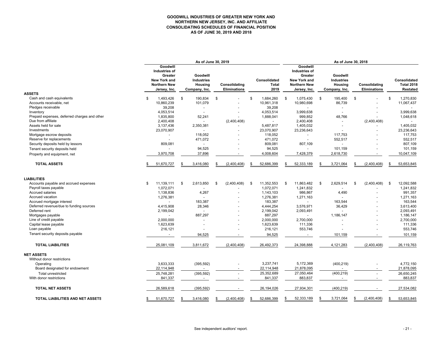#### **GOODWILL INDUSTRIES OF GREATER NEW YORK AND NORTHERN NEW JERSEY, INC. AND AFFILIATE CONSOLIDATING SCHEDULES OF FINANCIAL POSITION AS OF JUNE 30, 2019 AND 2018**

|                                              | As of June 30, 2019                                                                         |     |                                                           |     |                                      |                    |                                      |    |                                                                                                    | As of June 30, 2018 |                                                           |    |                                      |    |                                                      |  |  |  |  |
|----------------------------------------------|---------------------------------------------------------------------------------------------|-----|-----------------------------------------------------------|-----|--------------------------------------|--------------------|--------------------------------------|----|----------------------------------------------------------------------------------------------------|---------------------|-----------------------------------------------------------|----|--------------------------------------|----|------------------------------------------------------|--|--|--|--|
| <b>ASSETS</b>                                | Goodwill<br>Industries of<br>Greater<br>New York and<br><b>Northern New</b><br>Jersey, Inc. |     | Goodwill<br><b>Industries</b><br>Housing<br>Company, Inc. |     | Consolidating<br><b>Eliminations</b> |                    | Consolidated<br><b>Total</b><br>2019 |    | Goodwill<br>Industries of<br>Greater<br><b>New York and</b><br><b>Northern New</b><br>Jersey, Inc. |                     | Goodwill<br><b>Industries</b><br>Housing<br>Company, Inc. |    | Consolidating<br><b>Eliminations</b> |    | <b>Consolidated</b><br><b>Total 2018</b><br>Restated |  |  |  |  |
| Cash and cash equivalents                    | \$<br>1,493,426                                                                             | \$  | 190,834                                                   | \$  |                                      | $\mathbf{\hat{s}}$ | 1,684,260                            | \$ | 1,075,430                                                                                          | \$                  | 195,400                                                   | \$ |                                      | \$ | 1,270,830                                            |  |  |  |  |
| Accounts receivable, net                     | 10,860,239                                                                                  |     | 101,079                                                   |     |                                      |                    | 10,961,318                           |    | 10,980,698                                                                                         |                     | 86,739                                                    |    |                                      |    | 11,067,437                                           |  |  |  |  |
| Pledges receivable                           | 39,208                                                                                      |     |                                                           |     |                                      |                    | 39,208                               |    |                                                                                                    |                     |                                                           |    |                                      |    |                                                      |  |  |  |  |
| Inventory                                    | 4,053,514                                                                                   |     |                                                           |     |                                      |                    | 4,053,514                            |    | 3,999,638                                                                                          |                     |                                                           |    |                                      |    | 3,999,638                                            |  |  |  |  |
| Prepaid expenses, deferred charges and other | 1,835,800                                                                                   |     | 52,241                                                    |     |                                      |                    | 1,888,041                            |    | 999.852                                                                                            |                     | 48,766                                                    |    |                                      |    | 1,048,618                                            |  |  |  |  |
| Due from affiliate                           | 2,400,408                                                                                   |     |                                                           |     | (2,400,408)                          |                    |                                      |    | 2,400,408                                                                                          |                     | ٠                                                         |    | (2,400,408)                          |    |                                                      |  |  |  |  |
| Assets held for sale                         | 3,137,436                                                                                   |     | 2,350,381                                                 |     |                                      |                    | 5,487,817                            |    | 1,405,032                                                                                          |                     | ٠                                                         |    |                                      |    | 1,405,032                                            |  |  |  |  |
| Investments                                  | 23,070,907                                                                                  |     |                                                           |     |                                      |                    | 23,070,907                           |    | 23,236,643                                                                                         |                     |                                                           |    |                                      |    | 23,236,643                                           |  |  |  |  |
| Mortgage escrow deposits                     |                                                                                             |     | 118,052                                                   |     |                                      |                    | 118,052                              |    |                                                                                                    |                     | 117,753                                                   |    |                                      |    | 117,753                                              |  |  |  |  |
| Reserve for replacements                     |                                                                                             |     | 471,072                                                   |     |                                      |                    | 471,072                              |    |                                                                                                    |                     | 552,517                                                   |    |                                      |    | 552,517                                              |  |  |  |  |
| Security deposits held by lessors            | 809,081                                                                                     |     |                                                           |     |                                      |                    | 809,081                              |    | 807,109                                                                                            |                     |                                                           |    |                                      |    | 807,109                                              |  |  |  |  |
| Tenant security deposits held                |                                                                                             |     | 94,525                                                    |     |                                      |                    | 94,525                               |    |                                                                                                    |                     | 101,159                                                   |    | $\overline{a}$                       |    | 101,159                                              |  |  |  |  |
| Property and equipment, net                  | 3,970,708                                                                                   |     | 37,896                                                    |     |                                      |                    | 4,008,604                            |    | 7,428,379                                                                                          |                     | 2,618,730                                                 |    |                                      |    | 10,047,109                                           |  |  |  |  |
| <b>TOTAL ASSETS</b>                          | \$<br>51,670,727                                                                            | \$. | 3,416,080                                                 |     | (2,400,408)                          | \$                 | 52,686,399                           |    | 52,333,189                                                                                         |                     | 3,721,064                                                 | \$ | (2,400,408)                          | \$ | 53,653,845                                           |  |  |  |  |
| <b>LIABILITIES</b>                           |                                                                                             |     |                                                           |     |                                      |                    |                                      |    |                                                                                                    |                     |                                                           |    |                                      |    |                                                      |  |  |  |  |
| Accounts payable and accrued expenses        | \$<br>11,139,111                                                                            | \$  | 2,613,850                                                 | \$  | (2,400,408)                          | \$                 | 11,352,553                           | \$ | 11,863,482                                                                                         | \$                  | 2,629,514                                                 | \$ | (2,400,408)                          | \$ | 12,092,588                                           |  |  |  |  |
| Payroll taxes payable                        | 1,072,071                                                                                   |     |                                                           |     |                                      |                    | 1,072,071                            |    | 1,241,832                                                                                          |                     |                                                           |    |                                      |    | 1,241,832                                            |  |  |  |  |
| <b>Accrued salaries</b>                      | 1,138,836                                                                                   |     | 4,267                                                     |     |                                      |                    | 1,143,103                            |    | 986,867                                                                                            |                     | 4,490                                                     |    |                                      |    | 991,357                                              |  |  |  |  |
| Accrued vacation                             | 1,276,381                                                                                   |     |                                                           |     |                                      |                    | 1,276,381                            |    | 1,271,163                                                                                          |                     |                                                           |    |                                      |    | 1,271,163                                            |  |  |  |  |
| Accrued mortgage interest                    |                                                                                             |     | 183,387                                                   |     |                                      |                    | 183,387                              |    |                                                                                                    |                     | 163,544                                                   |    |                                      |    | 163,544                                              |  |  |  |  |
| Deferred revenue/due to funding sources      | 4,415,908                                                                                   |     | 28,346                                                    |     |                                      |                    | 4,444,254                            |    | 3,576,971                                                                                          |                     | 36,429                                                    |    |                                      |    | 3,613,400                                            |  |  |  |  |
| Deferred rent                                | 2,199,042                                                                                   |     | $\blacksquare$                                            |     |                                      |                    | 2,199,042                            |    | 2,093,491                                                                                          |                     |                                                           |    |                                      |    | 2,093,491                                            |  |  |  |  |
| Mortgages payable                            |                                                                                             |     | 887,297                                                   |     |                                      |                    | 887,297                              |    | ÷.                                                                                                 |                     | 1,186,147                                                 |    |                                      |    | 1,186,147                                            |  |  |  |  |
| Line of credit payable                       | 2,000,000                                                                                   |     |                                                           |     |                                      |                    | 2,000,000<br>1,623,639               |    | 2,700,000                                                                                          |                     |                                                           |    |                                      |    | 2,700,000<br>111,336                                 |  |  |  |  |
| Capital lease payable                        | 1,623,639                                                                                   |     |                                                           |     |                                      |                    |                                      |    | 111,336<br>553,746                                                                                 |                     |                                                           |    |                                      |    | 553,746                                              |  |  |  |  |
| Loan payable                                 | 216,121                                                                                     |     |                                                           |     |                                      |                    | 216,121                              |    |                                                                                                    |                     |                                                           |    |                                      |    |                                                      |  |  |  |  |
| Tenant security deposits payable             | $\overline{\phantom{a}}$                                                                    |     | 94,525                                                    |     |                                      |                    | 94,525                               |    |                                                                                                    |                     | 101,159                                                   |    |                                      |    | 101,159                                              |  |  |  |  |
| <b>TOTAL LIABILITIES</b>                     | 25,081,109                                                                                  |     | 3,811,672                                                 |     | (2,400,408)                          |                    | 26,492,373                           |    | 24,398,888                                                                                         |                     | 4,121,283                                                 |    | (2,400,408)                          |    | 26,119,763                                           |  |  |  |  |
| <b>NET ASSETS</b>                            |                                                                                             |     |                                                           |     |                                      |                    |                                      |    |                                                                                                    |                     |                                                           |    |                                      |    |                                                      |  |  |  |  |
| Without donor restrictions                   |                                                                                             |     |                                                           |     |                                      |                    |                                      |    |                                                                                                    |                     |                                                           |    |                                      |    |                                                      |  |  |  |  |
| Operating                                    | 3,633,333                                                                                   |     | (395, 592)                                                |     |                                      |                    | 3,237,741                            |    | 5,172,369                                                                                          |                     | (400, 219)                                                |    |                                      |    | 4,772,150                                            |  |  |  |  |
| Board designated for endowment               | 22,114,948                                                                                  |     |                                                           |     |                                      |                    | 22,114,948                           |    | 21,878,095                                                                                         |                     |                                                           |    |                                      |    | 21,878,095                                           |  |  |  |  |
| Total unrestricted                           | 25,748,281                                                                                  |     | (395, 592)                                                |     |                                      |                    | 25,352,689                           |    | 27,050,464                                                                                         |                     | (400, 219)                                                |    | $\sim$                               |    | 26,650,245                                           |  |  |  |  |
| With donor restrictions                      | 841,337                                                                                     |     | $\overline{\phantom{a}}$                                  |     |                                      |                    | 841,337                              |    | 883,837                                                                                            |                     | $\sim$                                                    |    |                                      |    | 883,837                                              |  |  |  |  |
| <b>TOTAL NET ASSETS</b>                      | 26,589,618                                                                                  |     | (395, 592)                                                |     |                                      |                    | 26,194,026                           |    | 27,934,301                                                                                         |                     | (400, 219)                                                |    |                                      |    | 27,534,082                                           |  |  |  |  |
| TOTAL LIABILITIES AND NET ASSETS             | \$<br>51,670,727                                                                            | \$  | 3,416,080                                                 | \$. | (2,400,408)                          | \$                 | 52,686,399                           | \$ | 52,333,189                                                                                         | \$                  | 3,721,064                                                 | \$ | (2,400,408)                          | \$ | 53,653,845                                           |  |  |  |  |